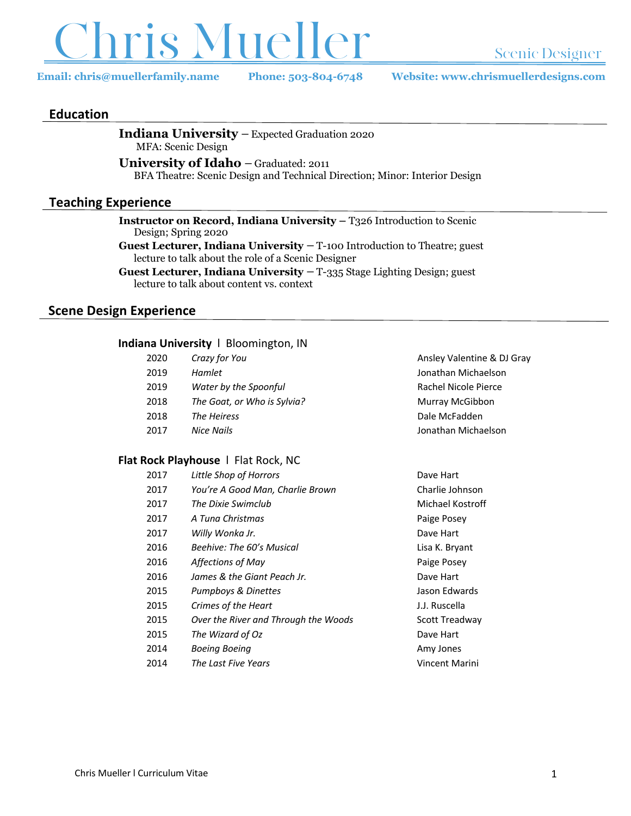

**Email: chris@muellerfamily.name Phone: 503-804-6748 Website: www.chrismuellerdesigns.com**

 *Crazy for You* Ansley Valentine & DJ Gray *Hamlet* Jonathan Michaelson *Water by the Spoonful* Rachel Nicole Pierce *The Goat, or Who is Sylvia?* Murray McGibbon Dale McFadden *Nice Nails* Jonathan Michaelson

### **Education**

**Indiana University** – Expected Graduation 2020 MFA: Scenic Design

**University of Idaho** – Graduated: 2011

BFA Theatre: Scenic Design and Technical Direction; Minor: Interior Design

### **Teaching Experience**

**Instructor on Record, Indiana University –** T326 Introduction to Scenic Design; Spring 2020

**Guest Lecturer, Indiana University** – T-100 Introduction to Theatre; guest lecture to talk about the role of a Scenic Designer

**Guest Lecturer, Indiana University** – T-335 Stage Lighting Design; guest lecture to talk about content vs. context

### **Scene Design Experience**

#### **Indiana University** l Bloomington, IN

| 2020 | Crazy for You               |
|------|-----------------------------|
| 2019 | Hamlet                      |
| 2019 | Water by the Spoonful       |
| 2018 | The Goat, or Who is Sylvia? |
| 2018 | The Heiress                 |
| 2017 | Nice Nails                  |

#### **Flat Rock Playhouse** l Flat Rock, NC

| 2017 | Little Shop of Horrors               | Dave Hart        |
|------|--------------------------------------|------------------|
| 2017 | You're A Good Man, Charlie Brown     | Charlie Johnson  |
| 2017 | The Dixie Swimclub                   | Michael Kostroff |
| 2017 | A Tuna Christmas                     | Paige Posey      |
| 2017 | Willy Wonka Jr.                      | Dave Hart        |
| 2016 | <b>Beehive: The 60's Musical</b>     | Lisa K. Bryant   |
| 2016 | Affections of May                    | Paige Posey      |
| 2016 | James & the Giant Peach Jr.          | Dave Hart        |
| 2015 | Pumpboys & Dinettes                  | Jason Edwards    |
| 2015 | Crimes of the Heart                  | J.J. Ruscella    |
| 2015 | Over the River and Through the Woods | Scott Treadway   |
| 2015 | The Wizard of Oz                     | Dave Hart        |
| 2014 | <b>Boeing Boeing</b>                 | Amy Jones        |
| 2014 | The Last Five Years                  | Vincent Marini   |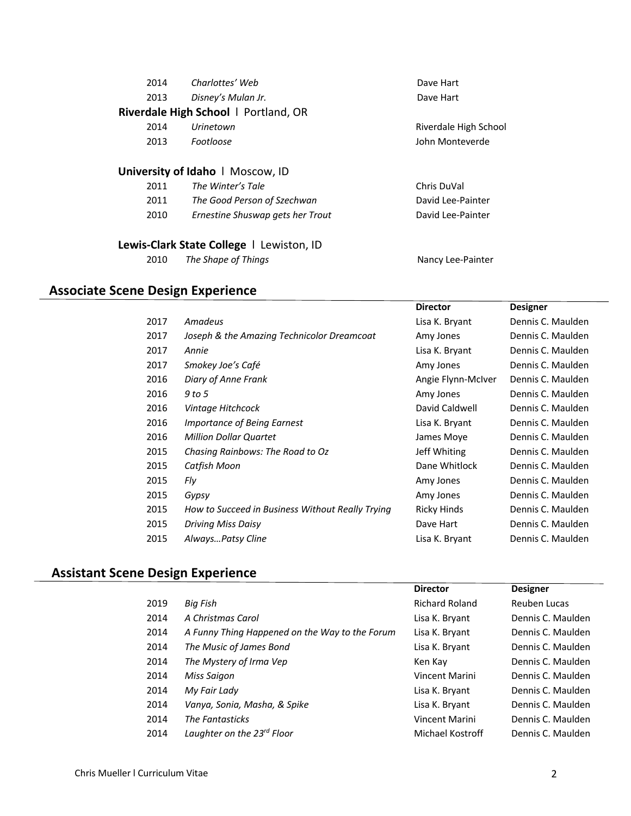| 2014 | Charlottes' Web                      | Dave Hart             |  |  |
|------|--------------------------------------|-----------------------|--|--|
| 2013 | Disney's Mulan Jr.                   | Dave Hart             |  |  |
|      | Riverdale High School   Portland, OR |                       |  |  |
| 2014 | Urinetown                            | Riverdale High School |  |  |
| 2013 | <b>Footloose</b>                     | John Monteverde       |  |  |
|      | University of Idaho   Moscow, ID     |                       |  |  |
| 2011 | The Winter's Tale                    | Chris DuVal           |  |  |
| 2011 | The Good Person of Szechwan          | David Lee-Painter     |  |  |
| 2010 | Ernestine Shuswap gets her Trout     | David Lee-Painter     |  |  |
|      |                                      |                       |  |  |

# **Lewis-Clark State College** l Lewiston, ID

*The Shape of Things* Nancy Lee-Painter

# **Associate Scene Design Experience**

|      |                                                  | <b>Director</b>    | <b>Designer</b>   |
|------|--------------------------------------------------|--------------------|-------------------|
| 2017 | Amadeus                                          | Lisa K. Bryant     | Dennis C. Maulden |
| 2017 | Joseph & the Amazing Technicolor Dreamcoat       | Amy Jones          | Dennis C. Maulden |
| 2017 | Annie                                            | Lisa K. Bryant     | Dennis C. Maulden |
| 2017 | Smokey Joe's Café                                | Amy Jones          | Dennis C. Maulden |
| 2016 | Diary of Anne Frank                              | Angie Flynn-McIver | Dennis C. Maulden |
| 2016 | 9 to 5                                           | Amy Jones          | Dennis C. Maulden |
| 2016 | Vintage Hitchcock                                | David Caldwell     | Dennis C. Maulden |
| 2016 | <i>Importance of Being Earnest</i>               | Lisa K. Bryant     | Dennis C. Maulden |
| 2016 | <b>Million Dollar Quartet</b>                    | James Moye         | Dennis C. Maulden |
| 2015 | Chasing Rainbows: The Road to Oz                 | Jeff Whiting       | Dennis C. Maulden |
| 2015 | Catfish Moon                                     | Dane Whitlock      | Dennis C. Maulden |
| 2015 | Fly                                              | Amy Jones          | Dennis C. Maulden |
| 2015 | Gypsy                                            | Amy Jones          | Dennis C. Maulden |
| 2015 | How to Succeed in Business Without Really Trying | Ricky Hinds        | Dennis C. Maulden |
| 2015 | Driving Miss Daisy                               | Dave Hart          | Dennis C. Maulden |
| 2015 | AlwaysPatsy Cline                                | Lisa K. Bryant     | Dennis C. Maulden |
|      |                                                  |                    |                   |

# **Assistant Scene Design Experience**

|      |                                                | <b>Director</b>       | <b>Designer</b>   |
|------|------------------------------------------------|-----------------------|-------------------|
| 2019 | Big Fish                                       | <b>Richard Roland</b> | Reuben Lucas      |
| 2014 | A Christmas Carol                              | Lisa K. Bryant        | Dennis C. Maulden |
| 2014 | A Funny Thing Happened on the Way to the Forum | Lisa K. Bryant        | Dennis C. Maulden |
| 2014 | The Music of James Bond                        | Lisa K. Bryant        | Dennis C. Maulden |
| 2014 | The Mystery of Irma Vep                        | Ken Kay               | Dennis C. Maulden |
| 2014 | Miss Saigon                                    | Vincent Marini        | Dennis C. Maulden |
| 2014 | My Fair Lady                                   | Lisa K. Bryant        | Dennis C. Maulden |
| 2014 | Vanya, Sonia, Masha, & Spike                   | Lisa K. Bryant        | Dennis C. Maulden |
| 2014 | <b>The Fantasticks</b>                         | Vincent Marini        | Dennis C. Maulden |
| 2014 | Laughter on the 23 <sup>rd</sup> Floor         | Michael Kostroff      | Dennis C. Maulden |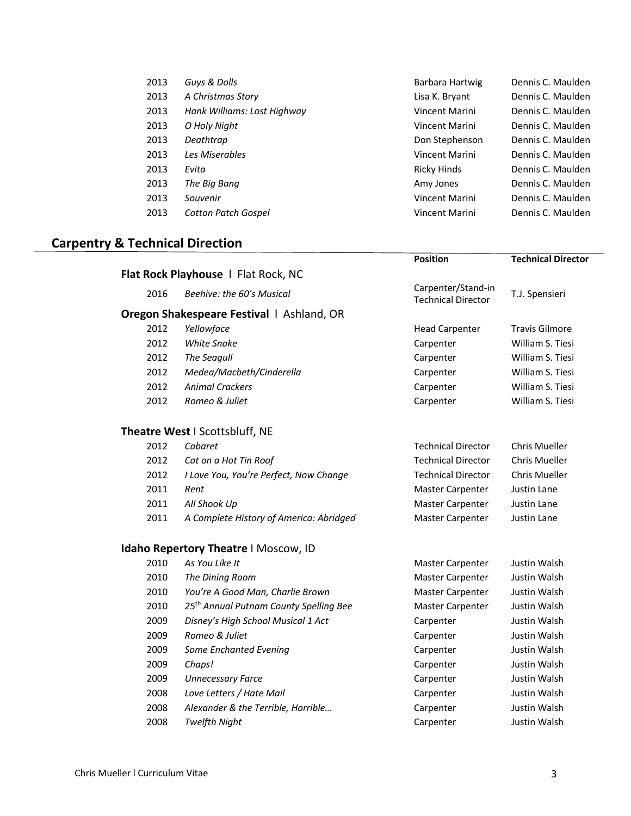| 2013 | Guys & Dolls                | Barbara Hartwig    | Dennis C. Maulden |
|------|-----------------------------|--------------------|-------------------|
| 2013 | A Christmas Story           | Lisa K. Bryant     | Dennis C. Maulden |
| 2013 | Hank Williams: Lost Highway | Vincent Marini     | Dennis C. Maulden |
| 2013 | O Holy Night                | Vincent Marini     | Dennis C. Maulden |
| 2013 | Deathtrap                   | Don Stephenson     | Dennis C. Maulden |
| 2013 | Les Miserables              | Vincent Marini     | Dennis C. Maulden |
| 2013 | Evita                       | <b>Ricky Hinds</b> | Dennis C. Maulden |
| 2013 | The Big Bang                | Amy Jones          | Dennis C. Maulden |
| 2013 | Souvenir                    | Vincent Marini     | Dennis C. Maulden |
| 2013 | <b>Cotton Patch Gospel</b>  | Vincent Marini     | Dennis C. Maulden |

# **Carpentry & Technical Direction**

|      |                                                    | <b>Position</b>                                 | <b>Technical Director</b> |
|------|----------------------------------------------------|-------------------------------------------------|---------------------------|
|      | Flat Rock Playhouse   Flat Rock, NC                |                                                 |                           |
| 2016 | Beehive: the 60's Musical                          | Carpenter/Stand-in<br><b>Technical Director</b> | T.J. Spensieri            |
|      | Oregon Shakespeare Festival   Ashland, OR          |                                                 |                           |
| 2012 | Yellowface                                         | <b>Head Carpenter</b>                           | <b>Travis Gilmore</b>     |
| 2012 | <b>White Snake</b>                                 | Carpenter                                       | William S. Tiesi          |
| 2012 | The Seagull                                        | Carpenter                                       | William S. Tiesi          |
| 2012 | Medea/Macbeth/Cinderella                           | Carpenter                                       | William S. Tiesi          |
| 2012 | <b>Animal Crackers</b>                             | Carpenter                                       | William S. Tiesi          |
| 2012 | Romeo & Juliet                                     | Carpenter                                       | William S. Tiesi          |
|      | Theatre West I Scottsbluff, NE                     |                                                 |                           |
| 2012 | Cabaret                                            | <b>Technical Director</b>                       | <b>Chris Mueller</b>      |
| 2012 | Cat on a Hot Tin Roof                              | <b>Technical Director</b>                       | <b>Chris Mueller</b>      |
| 2012 | I Love You, You're Perfect, Now Change             | <b>Technical Director</b>                       | Chris Mueller             |
| 2011 | Rent                                               | Master Carpenter                                | Justin Lane               |
| 2011 | All Shook Up                                       | Master Carpenter                                | Justin Lane               |
| 2011 | A Complete History of America: Abridged            | Master Carpenter                                | Justin Lane               |
|      | <b>Idaho Repertory Theatre I Moscow, ID</b>        |                                                 |                           |
| 2010 | As You Like It                                     | <b>Master Carpenter</b>                         | Justin Walsh              |
| 2010 | The Dining Room                                    | Master Carpenter                                | Justin Walsh              |
| 2010 | You're A Good Man, Charlie Brown                   | Master Carpenter                                | Justin Walsh              |
| 2010 | 25 <sup>th</sup> Annual Putnam County Spelling Bee | Master Carpenter                                | Justin Walsh              |
| 2009 | Disney's High School Musical 1 Act                 | Carpenter                                       | Justin Walsh              |
| 2009 | Romeo & Juliet                                     | Carpenter                                       | Justin Walsh              |
| 2009 | Some Enchanted Evening                             | Carpenter                                       | Justin Walsh              |
| 2009 | Chaps!                                             | Carpenter                                       | Justin Walsh              |
| 2009 | <b>Unnecessary Farce</b>                           | Carpenter                                       | Justin Walsh              |
| 2008 | Love Letters / Hate Mail                           | Carpenter                                       | Justin Walsh              |
| 2008 | Alexander & the Terrible, Horrible                 | Carpenter                                       | Justin Walsh              |
| 2008 | <b>Twelfth Night</b>                               | Carpenter                                       | Justin Walsh              |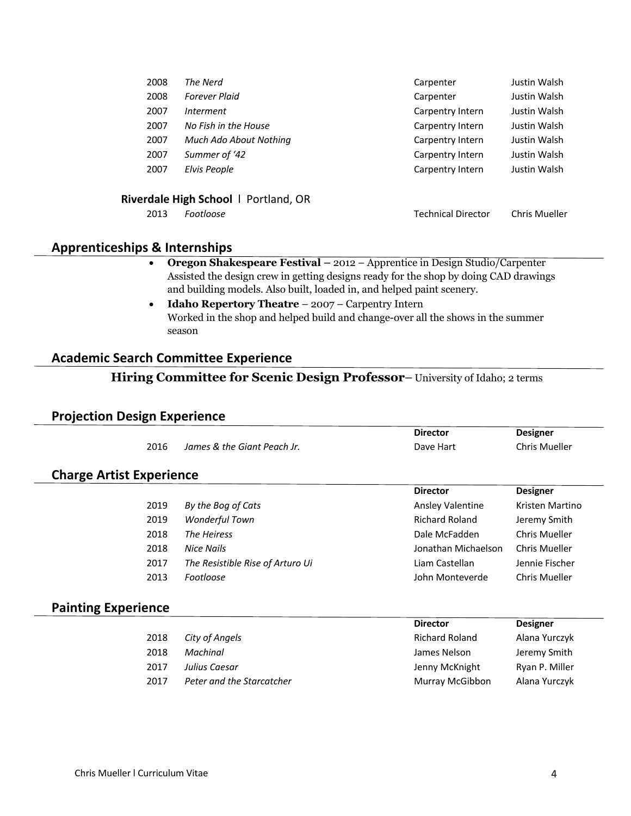| 2008 | The Nerd                             | Carpenter                 | Justin Walsh  |
|------|--------------------------------------|---------------------------|---------------|
| 2008 | <b>Forever Plaid</b>                 | Carpenter                 | Justin Walsh  |
| 2007 | Interment                            | Carpentry Intern          | Justin Walsh  |
| 2007 | No Fish in the House                 | Carpentry Intern          | Justin Walsh  |
| 2007 | Much Ado About Nothing               | Carpentry Intern          | Justin Walsh  |
| 2007 | Summer of '42                        | Carpentry Intern          | Justin Walsh  |
| 2007 | Elvis People                         | Carpentry Intern          | Justin Walsh  |
|      |                                      |                           |               |
|      | Riverdale High School   Portland, OR |                           |               |
| 2013 | Footloose                            | <b>Technical Director</b> | Chris Mueller |
|      |                                      |                           |               |

# **Apprenticeships & Internships**

- **Oregon Shakespeare Festival –** 2012 Apprentice in Design Studio/Carpenter Assisted the design crew in getting designs ready for the shop by doing CAD drawings and building models. Also built, loaded in, and helped paint scenery.
- **Idaho Repertory Theatre** 2007 Carpentry Intern Worked in the shop and helped build and change-over all the shows in the summer season

# **Academic Search Committee Experience**

# **Hiring Committee for Scenic Design Professor**– University of Idaho; 2 terms

## **Projection Design Experience**

|                                 |                                  | <b>Director</b>       | <b>Designer</b>      |
|---------------------------------|----------------------------------|-----------------------|----------------------|
| 2016                            | James & the Giant Peach Jr.      | Dave Hart             | <b>Chris Mueller</b> |
| <b>Charge Artist Experience</b> |                                  |                       |                      |
|                                 |                                  | <b>Director</b>       | <b>Designer</b>      |
| 2019                            | By the Bog of Cats               | Ansley Valentine      | Kristen Martino      |
| 2019                            | <b>Wonderful Town</b>            | <b>Richard Roland</b> | Jeremy Smith         |
| 2018                            | The Heiress                      | Dale McFadden         | Chris Mueller        |
| 2018                            | <b>Nice Nails</b>                | Jonathan Michaelson   | <b>Chris Mueller</b> |
| 2017                            | The Resistible Rise of Arturo Ui | Liam Castellan        | Jennie Fischer       |
| 2013                            | Footloose                        | John Monteverde       | Chris Mueller        |
| <b>Painting Experience</b>      |                                  |                       |                      |
|                                 |                                  | <b>Director</b>       | <b>Designer</b>      |
| 2018                            | City of Angels                   | <b>Richard Roland</b> | Alana Yurczyk        |
| 2018                            | Machinal                         | James Nelson          | Jeremy Smith         |
| 2017                            | Julius Caesar                    | Jenny McKnight        | Ryan P. Miller       |
| 2017                            | Peter and the Starcatcher        | Murray McGibbon       | Alana Yurczyk        |